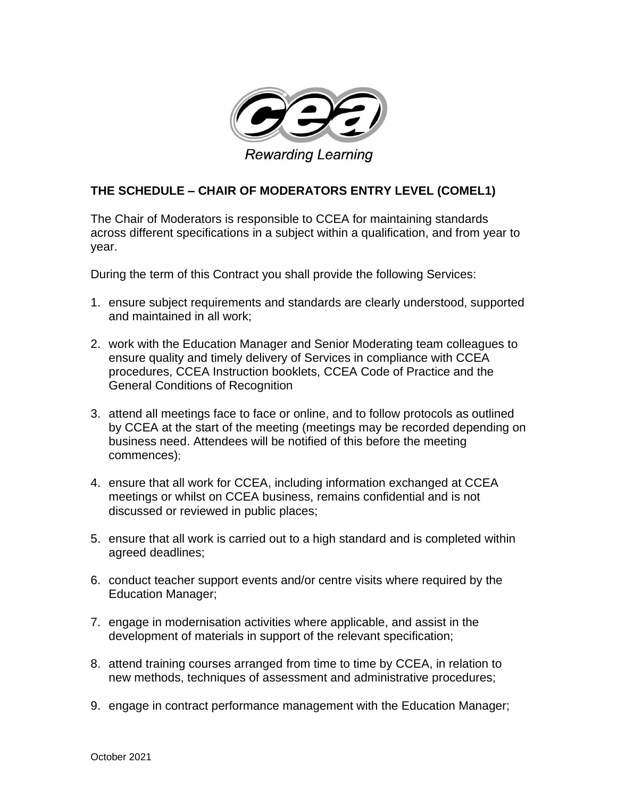

## **THE SCHEDULE – CHAIR OF MODERATORS ENTRY LEVEL (COMEL1)**

The Chair of Moderators is responsible to CCEA for maintaining standards across different specifications in a subject within a qualification, and from year to year.

During the term of this Contract you shall provide the following Services:

- 1. ensure subject requirements and standards are clearly understood, supported and maintained in all work;
- 2. work with the Education Manager and Senior Moderating team colleagues to ensure quality and timely delivery of Services in compliance with CCEA procedures, CCEA Instruction booklets, CCEA Code of Practice and the General Conditions of Recognition
- 3. attend all meetings face to face or online, and to follow protocols as outlined by CCEA at the start of the meeting (meetings may be recorded depending on business need. Attendees will be notified of this before the meeting commences);
- 4. ensure that all work for CCEA, including information exchanged at CCEA meetings or whilst on CCEA business, remains confidential and is not discussed or reviewed in public places;
- 5. ensure that all work is carried out to a high standard and is completed within agreed deadlines;
- 6. conduct teacher support events and/or centre visits where required by the Education Manager;
- 7. engage in modernisation activities where applicable, and assist in the development of materials in support of the relevant specification;
- 8. attend training courses arranged from time to time by CCEA, in relation to new methods, techniques of assessment and administrative procedures;
- 9. engage in contract performance management with the Education Manager;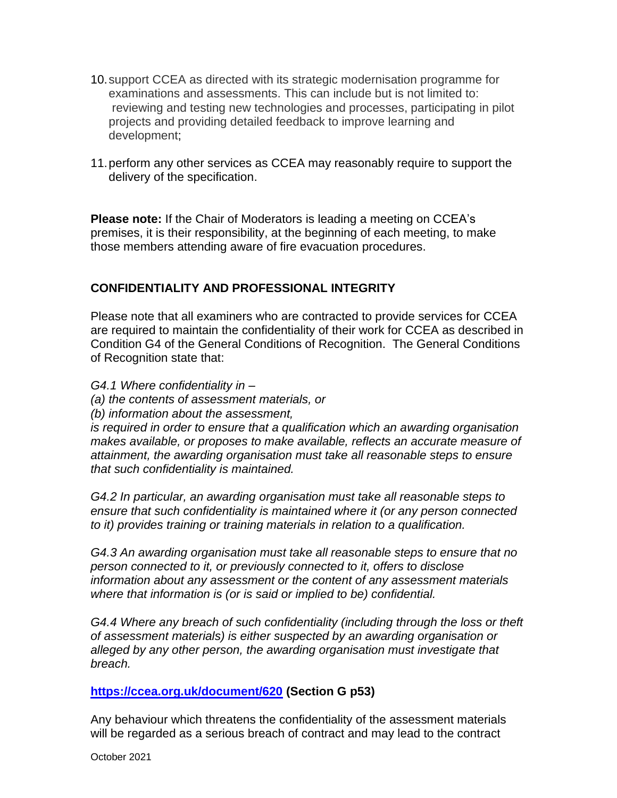- 10.support CCEA as directed with its strategic modernisation programme for examinations and assessments. This can include but is not limited to: reviewing and testing new technologies and processes, participating in pilot projects and providing detailed feedback to improve learning and development;
- 11.perform any other services as CCEA may reasonably require to support the delivery of the specification.

**Please note:** If the Chair of Moderators is leading a meeting on CCEA's premises, it is their responsibility, at the beginning of each meeting, to make those members attending aware of fire evacuation procedures.

## **CONFIDENTIALITY AND PROFESSIONAL INTEGRITY**

Please note that all examiners who are contracted to provide services for CCEA are required to maintain the confidentiality of their work for CCEA as described in Condition G4 of the General Conditions of Recognition. The General Conditions of Recognition state that:

- *G4.1 Where confidentiality in –*
- *(a) the contents of assessment materials, or*
- *(b) information about the assessment,*

*is required in order to ensure that a qualification which an awarding organisation makes available, or proposes to make available, reflects an accurate measure of attainment, the awarding organisation must take all reasonable steps to ensure that such confidentiality is maintained.* 

*G4.2 In particular, an awarding organisation must take all reasonable steps to ensure that such confidentiality is maintained where it (or any person connected to it) provides training or training materials in relation to a qualification.* 

*G4.3 An awarding organisation must take all reasonable steps to ensure that no person connected to it, or previously connected to it, offers to disclose information about any assessment or the content of any assessment materials where that information is (or is said or implied to be) confidential.* 

*G4.4 Where any breach of such confidentiality (including through the loss or theft of assessment materials) is either suspected by an awarding organisation or alleged by any other person, the awarding organisation must investigate that breach.*

## **<https://ccea.org.uk/document/620> (Section G p53)**

Any behaviour which threatens the confidentiality of the assessment materials will be regarded as a serious breach of contract and may lead to the contract